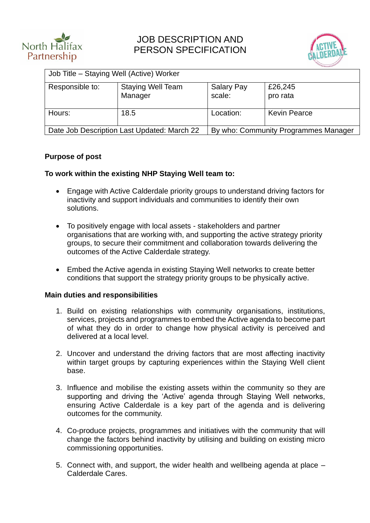



| Responsible to: | <b>Staying Well Team</b> | <b>Salary Pay</b> | £26,245             |
|-----------------|--------------------------|-------------------|---------------------|
|                 | Manager                  | scale:            | pro rata            |
| Hours:          | 18.5                     | Location:         | <b>Kevin Pearce</b> |

### **Purpose of post**

#### **To work within the existing NHP Staying Well team to:**

- Engage with Active Calderdale priority groups to understand driving factors for inactivity and support individuals and communities to identify their own solutions.
- To positively engage with local assets stakeholders and partner organisations that are working with, and supporting the active strategy priority groups, to secure their commitment and collaboration towards delivering the outcomes of the Active Calderdale strategy.
- Embed the Active agenda in existing Staying Well networks to create better conditions that support the strategy priority groups to be physically active.

#### **Main duties and responsibilities**

- 1. Build on existing relationships with community organisations, institutions, services, projects and programmes to embed the Active agenda to become part of what they do in order to change how physical activity is perceived and delivered at a local level.
- 2. Uncover and understand the driving factors that are most affecting inactivity within target groups by capturing experiences within the Staying Well client base.
- 3. Influence and mobilise the existing assets within the community so they are supporting and driving the 'Active' agenda through Staying Well networks, ensuring Active Calderdale is a key part of the agenda and is delivering outcomes for the community.
- 4. Co-produce projects, programmes and initiatives with the community that will change the factors behind inactivity by utilising and building on existing micro commissioning opportunities.
- 5. Connect with, and support, the wider health and wellbeing agenda at place Calderdale Cares.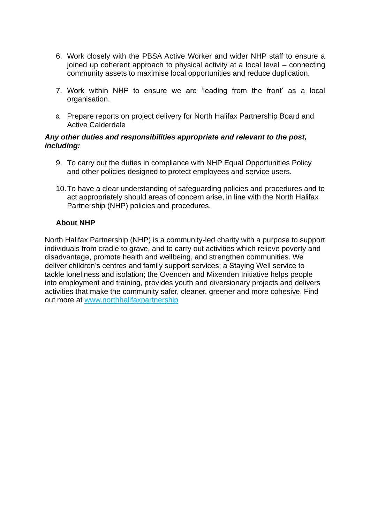- 6. Work closely with the PBSA Active Worker and wider NHP staff to ensure a joined up coherent approach to physical activity at a local level – connecting community assets to maximise local opportunities and reduce duplication.
- 7. Work within NHP to ensure we are 'leading from the front' as a local organisation.
- 8. Prepare reports on project delivery for North Halifax Partnership Board and Active Calderdale

#### *Any other duties and responsibilities appropriate and relevant to the post, including:*

- 9. To carry out the duties in compliance with NHP Equal Opportunities Policy and other policies designed to protect employees and service users.
- 10.To have a clear understanding of safeguarding policies and procedures and to act appropriately should areas of concern arise, in line with the North Halifax Partnership (NHP) policies and procedures.

## **About NHP**

North Halifax Partnership (NHP) is a community-led charity with a purpose to support individuals from cradle to grave, and to carry out activities which relieve poverty and disadvantage, promote health and wellbeing, and strengthen communities. We deliver children's centres and family support services; a Staying Well service to tackle loneliness and isolation; the Ovenden and Mixenden Initiative helps people into employment and training, provides youth and diversionary projects and delivers activities that make the community safer, cleaner, greener and more cohesive. Find out more at www.northhalifaxpartnership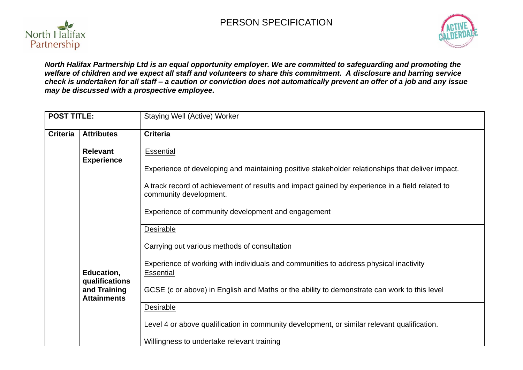# PERSON SPECIFICATION





*North Halifax Partnership Ltd is an equal opportunity employer. We are committed to safeguarding and promoting the welfare of children and we expect all staff and volunteers to share this commitment. A disclosure and barring service check is undertaken for all staff – a caution or conviction does not automatically prevent an offer of a job and any issue may be discussed with a prospective employee.*

| <b>POST TITLE:</b>                   |                              | Staying Well (Active) Worker                                                                                             |  |
|--------------------------------------|------------------------------|--------------------------------------------------------------------------------------------------------------------------|--|
| <b>Criteria</b>                      | <b>Attributes</b>            | <b>Criteria</b>                                                                                                          |  |
| <b>Relevant</b><br><b>Experience</b> |                              | <b>Essential</b>                                                                                                         |  |
|                                      |                              | Experience of developing and maintaining positive stakeholder relationships that deliver impact.                         |  |
|                                      |                              | A track record of achievement of results and impact gained by experience in a field related to<br>community development. |  |
|                                      |                              | Experience of community development and engagement                                                                       |  |
|                                      |                              | Desirable                                                                                                                |  |
|                                      |                              | Carrying out various methods of consultation                                                                             |  |
|                                      |                              | Experience of working with individuals and communities to address physical inactivity                                    |  |
|                                      | Education,<br>qualifications | <b>Essential</b>                                                                                                         |  |
| and Training<br><b>Attainments</b>   |                              | GCSE (c or above) in English and Maths or the ability to demonstrate can work to this level                              |  |
|                                      |                              | <b>Desirable</b>                                                                                                         |  |
|                                      |                              | Level 4 or above qualification in community development, or similar relevant qualification.                              |  |
|                                      |                              | Willingness to undertake relevant training                                                                               |  |